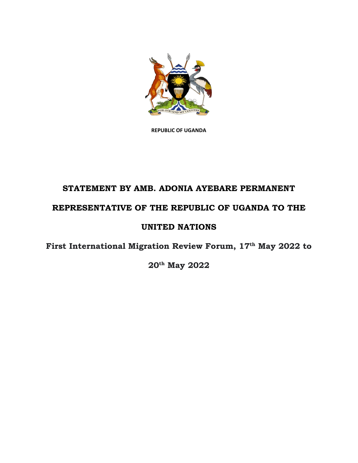

**REPUBLIC OF UGANDA**

# **STATEMENT BY AMB. ADONIA AYEBARE PERMANENT REPRESENTATIVE OF THE REPUBLIC OF UGANDA TO THE**

## **UNITED NATIONS**

**First International Migration Review Forum, 17th May 2022 to** 

**20th May 2022**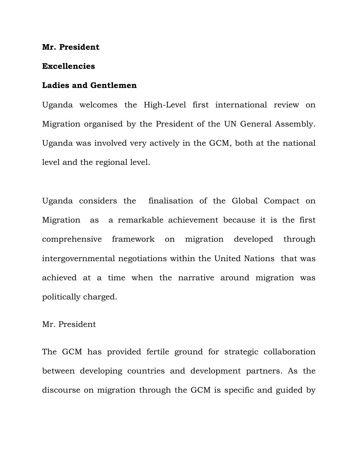#### **Mr. President**

#### **Excellencies**

#### **Ladies and Gentlemen**

Uganda welcomes the High-Level first international review on Migration organised by the President of the UN General Assembly. Uganda was involved very actively in the GCM, both at the national level and the regional level.

Uganda considers the finalisation of the Global Compact on Migration as a remarkable achievement because it is the first comprehensive framework on migration developed through intergovernmental negotiations within the United Nations that was achieved at a time when the narrative around migration was politically charged.

### Mr. President

The GCM has provided fertile ground for strategic collaboration between developing countries and development partners. As the discourse on migration through the GCM is specific and guided by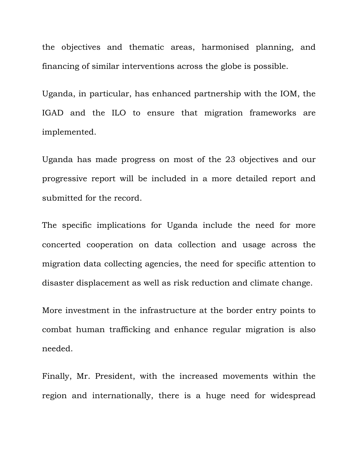the objectives and thematic areas, harmonised planning, and financing of similar interventions across the globe is possible.

Uganda, in particular, has enhanced partnership with the IOM, the IGAD and the ILO to ensure that migration frameworks are implemented.

Uganda has made progress on most of the 23 objectives and our progressive report will be included in a more detailed report and submitted for the record.

The specific implications for Uganda include the need for more concerted cooperation on data collection and usage across the migration data collecting agencies, the need for specific attention to disaster displacement as well as risk reduction and climate change.

More investment in the infrastructure at the border entry points to combat human trafficking and enhance regular migration is also needed.

Finally, Mr. President, with the increased movements within the region and internationally, there is a huge need for widespread